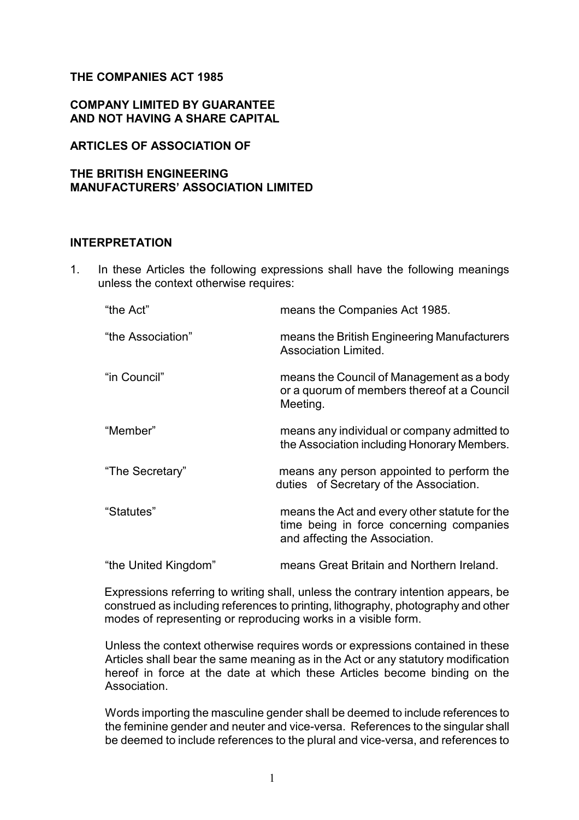#### **THE COMPANIES ACT 1985**

**COMPANY LIMITED BY GUARANTEE AND NOT HAVING A SHARE CAPITAL** 

#### **ARTICLES OF ASSOCIATION OF**

**THE BRITISH ENGINEERING MANUFACTURERS' ASSOCIATION LIMITED** 

#### **INTERPRETATION**

1. In these Articles the following expressions shall have the following meanings unless the context otherwise requires:

| "the Act"            | means the Companies Act 1985.                                                                                               |
|----------------------|-----------------------------------------------------------------------------------------------------------------------------|
| "the Association"    | means the British Engineering Manufacturers<br>Association Limited.                                                         |
| "in Council"         | means the Council of Management as a body<br>or a quorum of members thereof at a Council<br>Meeting.                        |
| "Member"             | means any individual or company admitted to<br>the Association including Honorary Members.                                  |
| "The Secretary"      | means any person appointed to perform the<br>duties of Secretary of the Association.                                        |
| "Statutes"           | means the Act and every other statute for the<br>time being in force concerning companies<br>and affecting the Association. |
| "the United Kingdom" | means Great Britain and Northern Ireland.                                                                                   |

Expressions referring to writing shall, unless the contrary intention appears, be construed as including references to printing, lithography, photography and other modes of representing or reproducing works in a visible form.

Unless the context otherwise requires words or expressions contained in these Articles shall bear the same meaning as in the Act or any statutory modification hereof in force at the date at which these Articles become binding on the Association.

Words importing the masculine gender shall be deemed to include references to the feminine gender and neuter and vice-versa. References to the singular shall be deemed to include references to the plural and vice-versa, and references to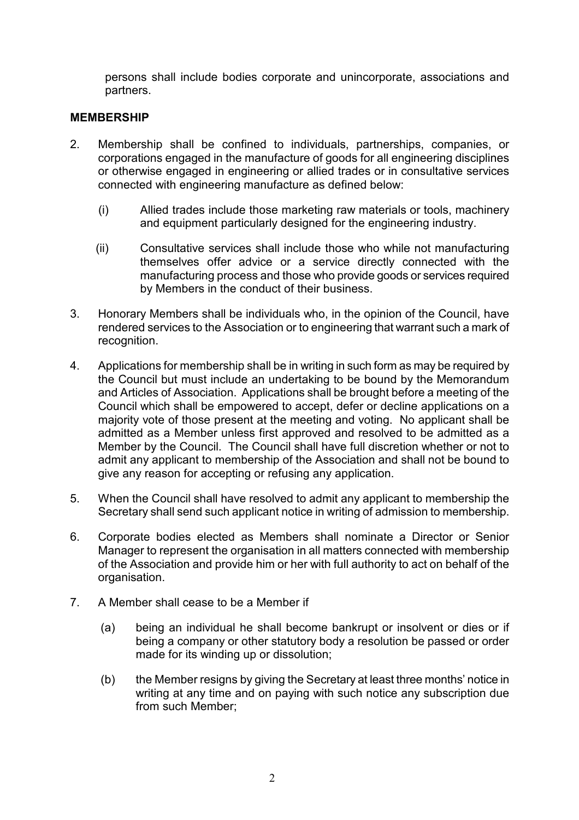persons shall include bodies corporate and unincorporate, associations and partners.

#### **MEMBERSHIP**

- 2. Membership shall be confined to individuals, partnerships, companies, or corporations engaged in the manufacture of goods for all engineering disciplines or otherwise engaged in engineering or allied trades or in consultative services connected with engineering manufacture as defined below:
	- (i) Allied trades include those marketing raw materials or tools, machinery and equipment particularly designed for the engineering industry.
	- (ii) Consultative services shall include those who while not manufacturing themselves offer advice or a service directly connected with the manufacturing process and those who provide goods or services required by Members in the conduct of their business.
- 3. Honorary Members shall be individuals who, in the opinion of the Council, have rendered services to the Association or to engineering that warrant such a mark of recognition.
- 4. Applications for membership shall be in writing in such form as may be required by the Council but must include an undertaking to be bound by the Memorandum and Articles of Association. Applications shall be brought before a meeting of the Council which shall be empowered to accept, defer or decline applications on a majority vote of those present at the meeting and voting. No applicant shall be admitted as a Member unless first approved and resolved to be admitted as a Member by the Council. The Council shall have full discretion whether or not to admit any applicant to membership of the Association and shall not be bound to give any reason for accepting or refusing any application.
- 5. When the Council shall have resolved to admit any applicant to membership the Secretary shall send such applicant notice in writing of admission to membership.
- 6. Corporate bodies elected as Members shall nominate a Director or Senior Manager to represent the organisation in all matters connected with membership of the Association and provide him or her with full authority to act on behalf of the organisation.
- 7. A Member shall cease to be a Member if
	- (a) being an individual he shall become bankrupt or insolvent or dies or if being a company or other statutory body a resolution be passed or order made for its winding up or dissolution;
	- (b) the Member resigns by giving the Secretary at least three months' notice in writing at any time and on paying with such notice any subscription due from such Member;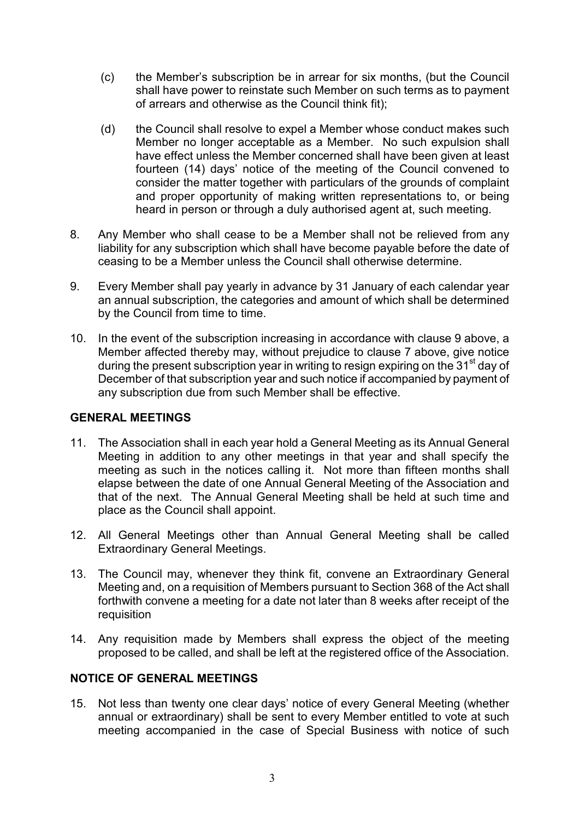- (c) the Member's subscription be in arrear for six months, (but the Council shall have power to reinstate such Member on such terms as to payment of arrears and otherwise as the Council think fit);
- (d) the Council shall resolve to expel a Member whose conduct makes such Member no longer acceptable as a Member. No such expulsion shall have effect unless the Member concerned shall have been given at least fourteen (14) days' notice of the meeting of the Council convened to consider the matter together with particulars of the grounds of complaint and proper opportunity of making written representations to, or being heard in person or through a duly authorised agent at, such meeting.
- 8. Any Member who shall cease to be a Member shall not be relieved from any liability for any subscription which shall have become payable before the date of ceasing to be a Member unless the Council shall otherwise determine.
- 9. Every Member shall pay yearly in advance by 31 January of each calendar year an annual subscription, the categories and amount of which shall be determined by the Council from time to time.
- 10. In the event of the subscription increasing in accordance with clause 9 above, a Member affected thereby may, without prejudice to clause 7 above, give notice during the present subscription year in writing to resign expiring on the  $31<sup>st</sup>$  day of December of that subscription year and such notice if accompanied by payment of any subscription due from such Member shall be effective.

### **GENERAL MEETINGS**

- 11. The Association shall in each year hold a General Meeting as its Annual General Meeting in addition to any other meetings in that year and shall specify the meeting as such in the notices calling it. Not more than fifteen months shall elapse between the date of one Annual General Meeting of the Association and that of the next. The Annual General Meeting shall be held at such time and place as the Council shall appoint.
- 12. All General Meetings other than Annual General Meeting shall be called Extraordinary General Meetings.
- 13. The Council may, whenever they think fit, convene an Extraordinary General Meeting and, on a requisition of Members pursuant to Section 368 of the Act shall forthwith convene a meeting for a date not later than 8 weeks after receipt of the requisition
- 14. Any requisition made by Members shall express the object of the meeting proposed to be called, and shall be left at the registered office of the Association.

# **NOTICE OF GENERAL MEETINGS**

15. Not less than twenty one clear days' notice of every General Meeting (whether annual or extraordinary) shall be sent to every Member entitled to vote at such meeting accompanied in the case of Special Business with notice of such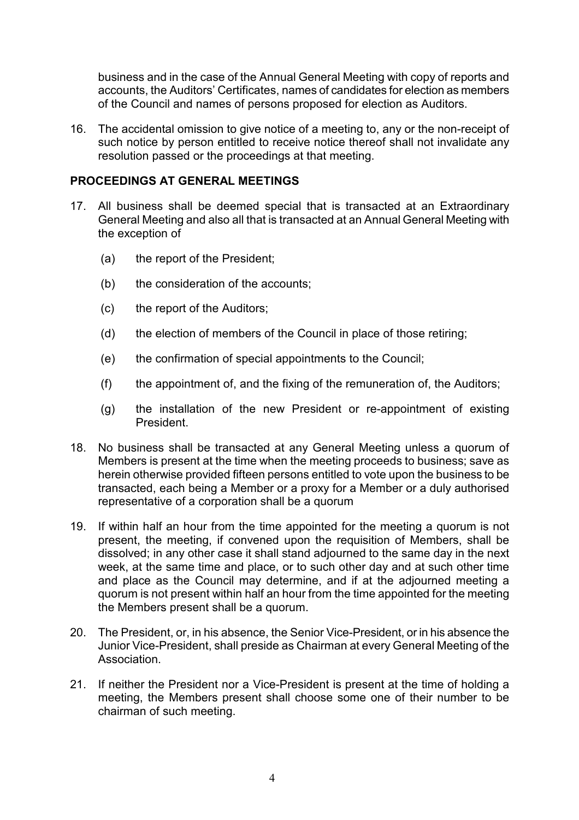business and in the case of the Annual General Meeting with copy of reports and accounts, the Auditors' Certificates, names of candidates for election as members of the Council and names of persons proposed for election as Auditors.

16. The accidental omission to give notice of a meeting to, any or the non-receipt of such notice by person entitled to receive notice thereof shall not invalidate any resolution passed or the proceedings at that meeting.

## **PROCEEDINGS AT GENERAL MEETINGS**

- 17. All business shall be deemed special that is transacted at an Extraordinary General Meeting and also all that is transacted at an Annual General Meeting with the exception of
	- (a) the report of the President;
	- (b) the consideration of the accounts;
	- (c) the report of the Auditors;
	- (d) the election of members of the Council in place of those retiring;
	- (e) the confirmation of special appointments to the Council;
	- (f) the appointment of, and the fixing of the remuneration of, the Auditors;
	- (g) the installation of the new President or re-appointment of existing President.
- 18. No business shall be transacted at any General Meeting unless a quorum of Members is present at the time when the meeting proceeds to business; save as herein otherwise provided fifteen persons entitled to vote upon the business to be transacted, each being a Member or a proxy for a Member or a duly authorised representative of a corporation shall be a quorum
- 19. If within half an hour from the time appointed for the meeting a quorum is not present, the meeting, if convened upon the requisition of Members, shall be dissolved; in any other case it shall stand adjourned to the same day in the next week, at the same time and place, or to such other day and at such other time and place as the Council may determine, and if at the adjourned meeting a quorum is not present within half an hour from the time appointed for the meeting the Members present shall be a quorum.
- 20. The President, or, in his absence, the Senior Vice-President, or in his absence the Junior Vice-President, shall preside as Chairman at every General Meeting of the Association.
- 21. If neither the President nor a Vice-President is present at the time of holding a meeting, the Members present shall choose some one of their number to be chairman of such meeting.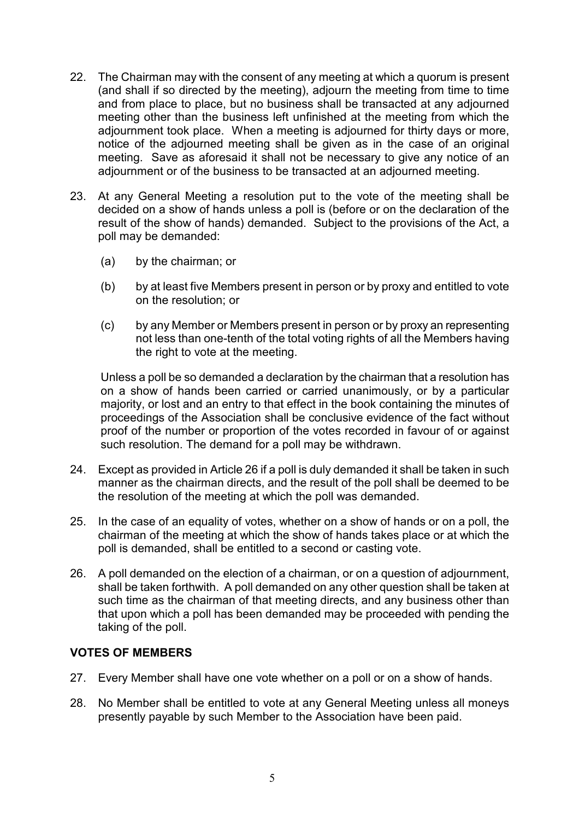- 22. The Chairman may with the consent of any meeting at which a quorum is present (and shall if so directed by the meeting), adjourn the meeting from time to time and from place to place, but no business shall be transacted at any adjourned meeting other than the business left unfinished at the meeting from which the adjournment took place. When a meeting is adjourned for thirty days or more, notice of the adjourned meeting shall be given as in the case of an original meeting. Save as aforesaid it shall not be necessary to give any notice of an adjournment or of the business to be transacted at an adjourned meeting.
- 23. At any General Meeting a resolution put to the vote of the meeting shall be decided on a show of hands unless a poll is (before or on the declaration of the result of the show of hands) demanded. Subject to the provisions of the Act, a poll may be demanded:
	- (a) by the chairman; or
	- (b) by at least five Members present in person or by proxy and entitled to vote on the resolution; or
	- (c) by any Member or Members present in person or by proxy an representing not less than one-tenth of the total voting rights of all the Members having the right to vote at the meeting.

Unless a poll be so demanded a declaration by the chairman that a resolution has on a show of hands been carried or carried unanimously, or by a particular majority, or lost and an entry to that effect in the book containing the minutes of proceedings of the Association shall be conclusive evidence of the fact without proof of the number or proportion of the votes recorded in favour of or against such resolution. The demand for a poll may be withdrawn.

- 24. Except as provided in Article 26 if a poll is duly demanded it shall be taken in such manner as the chairman directs, and the result of the poll shall be deemed to be the resolution of the meeting at which the poll was demanded.
- 25. In the case of an equality of votes, whether on a show of hands or on a poll, the chairman of the meeting at which the show of hands takes place or at which the poll is demanded, shall be entitled to a second or casting vote.
- 26. A poll demanded on the election of a chairman, or on a question of adjournment, shall be taken forthwith. A poll demanded on any other question shall be taken at such time as the chairman of that meeting directs, and any business other than that upon which a poll has been demanded may be proceeded with pending the taking of the poll.

### **VOTES OF MEMBERS**

- 27. Every Member shall have one vote whether on a poll or on a show of hands.
- 28. No Member shall be entitled to vote at any General Meeting unless all moneys presently payable by such Member to the Association have been paid.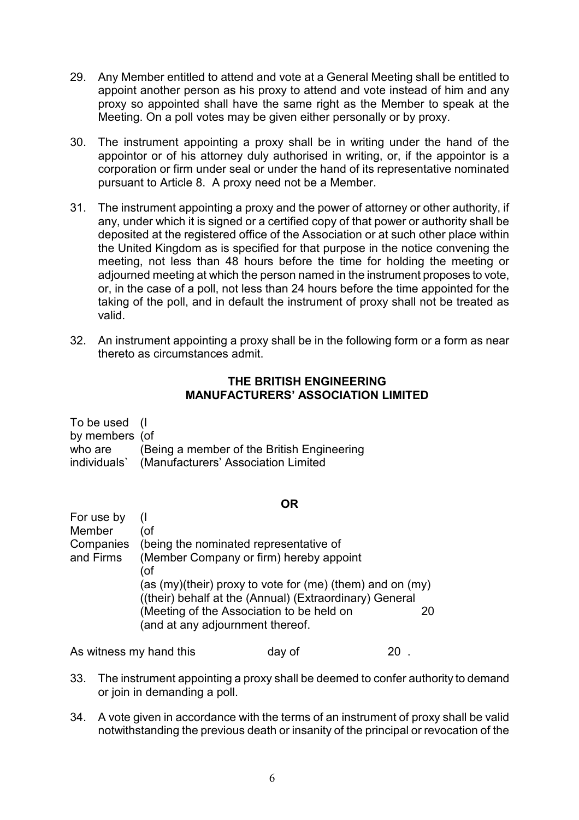- 29. Any Member entitled to attend and vote at a General Meeting shall be entitled to appoint another person as his proxy to attend and vote instead of him and any proxy so appointed shall have the same right as the Member to speak at the Meeting. On a poll votes may be given either personally or by proxy.
- 30. The instrument appointing a proxy shall be in writing under the hand of the appointor or of his attorney duly authorised in writing, or, if the appointor is a corporation or firm under seal or under the hand of its representative nominated pursuant to Article 8. A proxy need not be a Member.
- 31. The instrument appointing a proxy and the power of attorney or other authority, if any, under which it is signed or a certified copy of that power or authority shall be deposited at the registered office of the Association or at such other place within the United Kingdom as is specified for that purpose in the notice convening the meeting, not less than 48 hours before the time for holding the meeting or adjourned meeting at which the person named in the instrument proposes to vote, or, in the case of a poll, not less than 24 hours before the time appointed for the taking of the poll, and in default the instrument of proxy shall not be treated as valid.
- 32. An instrument appointing a proxy shall be in the following form or a form as near thereto as circumstances admit.

### **THE BRITISH ENGINEERING MANUFACTURERS' ASSOCIATION LIMITED**

| To be used (I  |                                             |
|----------------|---------------------------------------------|
| by members (of |                                             |
| who are        | (Being a member of the British Engineering) |
| individuals'   | (Manufacturers' Association Limited)        |

#### **OR**

| (of                                                             |    |
|-----------------------------------------------------------------|----|
| (being the nominated representative of                          |    |
| (Member Company or firm) hereby appoint                         |    |
| (of                                                             |    |
| (as $(my)(their)$ proxy to vote for $(me)$ (them) and on $(my)$ |    |
| ((their) behalf at the (Annual) (Extraordinary) General         |    |
| (Meeting of the Association to be held on                       | 20 |
| (and at any adjournment thereof.                                |    |
|                                                                 |    |

As witness my hand this day of 20.

- 33. The instrument appointing a proxy shall be deemed to confer authority to demand or join in demanding a poll.
- 34. A vote given in accordance with the terms of an instrument of proxy shall be valid notwithstanding the previous death or insanity of the principal or revocation of the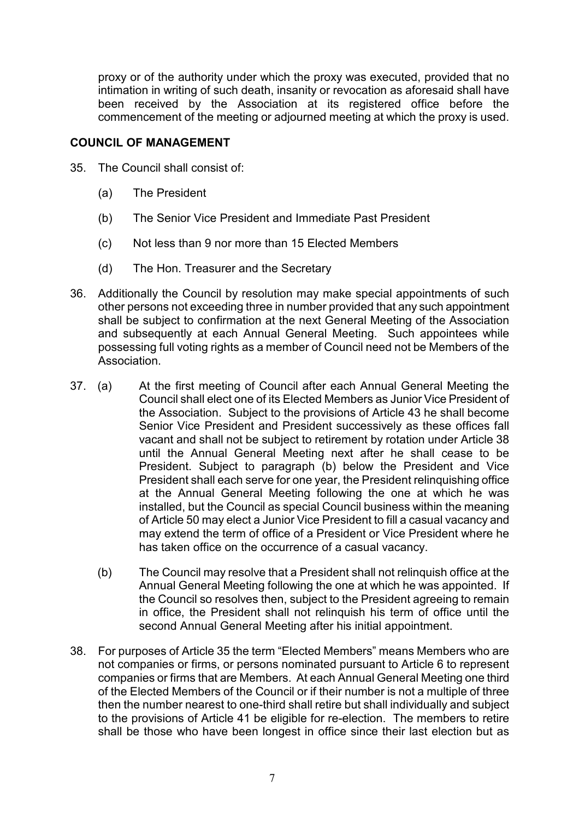proxy or of the authority under which the proxy was executed, provided that no intimation in writing of such death, insanity or revocation as aforesaid shall have been received by the Association at its registered office before the commencement of the meeting or adjourned meeting at which the proxy is used.

## **COUNCIL OF MANAGEMENT**

- 35. The Council shall consist of:
	- (a) The President
	- (b) The Senior Vice President and Immediate Past President
	- (c) Not less than 9 nor more than 15 Elected Members
	- (d) The Hon. Treasurer and the Secretary
- 36. Additionally the Council by resolution may make special appointments of such other persons not exceeding three in number provided that any such appointment shall be subject to confirmation at the next General Meeting of the Association and subsequently at each Annual General Meeting. Such appointees while possessing full voting rights as a member of Council need not be Members of the Association.
- 37. (a) At the first meeting of Council after each Annual General Meeting the Council shall elect one of its Elected Members as Junior Vice President of the Association. Subject to the provisions of Article 43 he shall become Senior Vice President and President successively as these offices fall vacant and shall not be subject to retirement by rotation under Article 38 until the Annual General Meeting next after he shall cease to be President. Subject to paragraph (b) below the President and Vice President shall each serve for one year, the President relinquishing office at the Annual General Meeting following the one at which he was installed, but the Council as special Council business within the meaning of Article 50 may elect a Junior Vice President to fill a casual vacancy and may extend the term of office of a President or Vice President where he has taken office on the occurrence of a casual vacancy.
	- (b) The Council may resolve that a President shall not relinquish office at the Annual General Meeting following the one at which he was appointed. If the Council so resolves then, subject to the President agreeing to remain in office, the President shall not relinquish his term of office until the second Annual General Meeting after his initial appointment.
- 38. For purposes of Article 35 the term "Elected Members" means Members who are not companies or firms, or persons nominated pursuant to Article 6 to represent companies or firms that are Members. At each Annual General Meeting one third of the Elected Members of the Council or if their number is not a multiple of three then the number nearest to one-third shall retire but shall individually and subject to the provisions of Article 41 be eligible for re-election. The members to retire shall be those who have been longest in office since their last election but as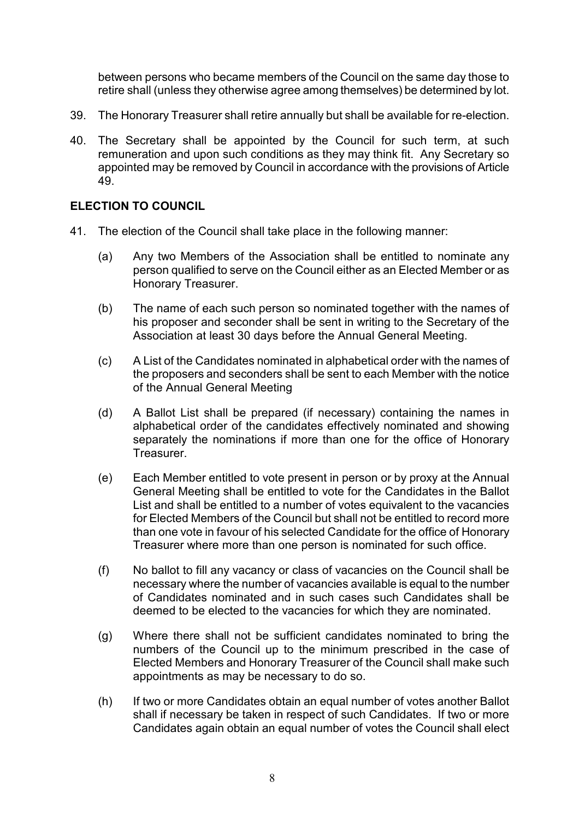between persons who became members of the Council on the same day those to retire shall (unless they otherwise agree among themselves) be determined by lot.

- 39. The Honorary Treasurer shall retire annually but shall be available for re-election.
- 40. The Secretary shall be appointed by the Council for such term, at such remuneration and upon such conditions as they may think fit. Any Secretary so appointed may be removed by Council in accordance with the provisions of Article 49.

# **ELECTION TO COUNCIL**

- 41. The election of the Council shall take place in the following manner:
	- (a) Any two Members of the Association shall be entitled to nominate any person qualified to serve on the Council either as an Elected Member or as Honorary Treasurer.
	- (b) The name of each such person so nominated together with the names of his proposer and seconder shall be sent in writing to the Secretary of the Association at least 30 days before the Annual General Meeting.
	- (c) A List of the Candidates nominated in alphabetical order with the names of the proposers and seconders shall be sent to each Member with the notice of the Annual General Meeting
	- (d) A Ballot List shall be prepared (if necessary) containing the names in alphabetical order of the candidates effectively nominated and showing separately the nominations if more than one for the office of Honorary Treasurer.
	- (e) Each Member entitled to vote present in person or by proxy at the Annual General Meeting shall be entitled to vote for the Candidates in the Ballot List and shall be entitled to a number of votes equivalent to the vacancies for Elected Members of the Council but shall not be entitled to record more than one vote in favour of his selected Candidate for the office of Honorary Treasurer where more than one person is nominated for such office.
	- (f) No ballot to fill any vacancy or class of vacancies on the Council shall be necessary where the number of vacancies available is equal to the number of Candidates nominated and in such cases such Candidates shall be deemed to be elected to the vacancies for which they are nominated.
	- (g) Where there shall not be sufficient candidates nominated to bring the numbers of the Council up to the minimum prescribed in the case of Elected Members and Honorary Treasurer of the Council shall make such appointments as may be necessary to do so.
	- (h) If two or more Candidates obtain an equal number of votes another Ballot shall if necessary be taken in respect of such Candidates. If two or more Candidates again obtain an equal number of votes the Council shall elect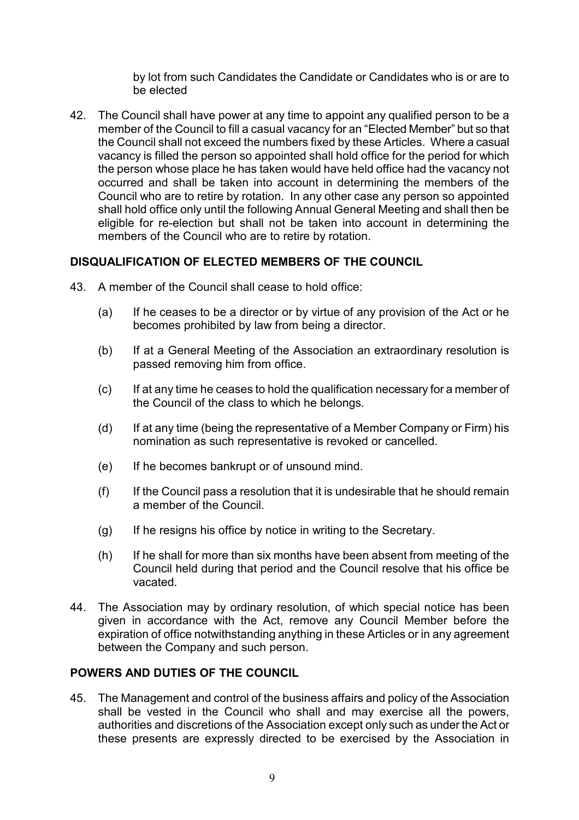by lot from such Candidates the Candidate or Candidates who is or are to be elected

42. The Council shall have power at any time to appoint any qualified person to be a member of the Council to fill a casual vacancy for an "Elected Member" but so that the Council shall not exceed the numbers fixed by these Articles. Where a casual vacancy is filled the person so appointed shall hold office for the period for which the person whose place he has taken would have held office had the vacancy not occurred and shall be taken into account in determining the members of the Council who are to retire by rotation. In any other case any person so appointed shall hold office only until the following Annual General Meeting and shall then be eligible for re-election but shall not be taken into account in determining the members of the Council who are to retire by rotation.

# **DISQUALIFICATION OF ELECTED MEMBERS OF THE COUNCIL**

- 43. A member of the Council shall cease to hold office:
	- (a) If he ceases to be a director or by virtue of any provision of the Act or he becomes prohibited by law from being a director.
	- (b) If at a General Meeting of the Association an extraordinary resolution is passed removing him from office.
	- (c) If at any time he ceases to hold the qualification necessary for a member of the Council of the class to which he belongs.
	- (d) If at any time (being the representative of a Member Company or Firm) his nomination as such representative is revoked or cancelled.
	- (e) If he becomes bankrupt or of unsound mind.
	- (f) If the Council pass a resolution that it is undesirable that he should remain a member of the Council.
	- (g) If he resigns his office by notice in writing to the Secretary.
	- (h) If he shall for more than six months have been absent from meeting of the Council held during that period and the Council resolve that his office be vacated.
- 44. The Association may by ordinary resolution, of which special notice has been given in accordance with the Act, remove any Council Member before the expiration of office notwithstanding anything in these Articles or in any agreement between the Company and such person.

# **POWERS AND DUTIES OF THE COUNCIL**

45. The Management and control of the business affairs and policy of the Association shall be vested in the Council who shall and may exercise all the powers, authorities and discretions of the Association except only such as under the Act or these presents are expressly directed to be exercised by the Association in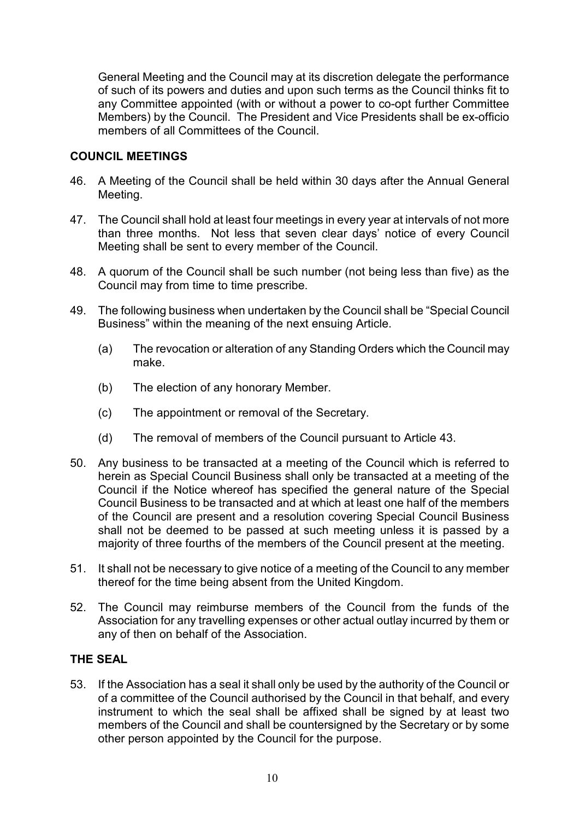General Meeting and the Council may at its discretion delegate the performance of such of its powers and duties and upon such terms as the Council thinks fit to any Committee appointed (with or without a power to co-opt further Committee Members) by the Council. The President and Vice Presidents shall be ex-officio members of all Committees of the Council.

# **COUNCIL MEETINGS**

- 46. A Meeting of the Council shall be held within 30 days after the Annual General Meeting.
- 47. The Council shall hold at least four meetings in every year at intervals of not more than three months. Not less that seven clear days' notice of every Council Meeting shall be sent to every member of the Council.
- 48. A quorum of the Council shall be such number (not being less than five) as the Council may from time to time prescribe.
- 49. The following business when undertaken by the Council shall be "Special Council Business" within the meaning of the next ensuing Article.
	- (a) The revocation or alteration of any Standing Orders which the Council may make.
	- (b) The election of any honorary Member.
	- (c) The appointment or removal of the Secretary.
	- (d) The removal of members of the Council pursuant to Article 43.
- 50. Any business to be transacted at a meeting of the Council which is referred to herein as Special Council Business shall only be transacted at a meeting of the Council if the Notice whereof has specified the general nature of the Special Council Business to be transacted and at which at least one half of the members of the Council are present and a resolution covering Special Council Business shall not be deemed to be passed at such meeting unless it is passed by a majority of three fourths of the members of the Council present at the meeting.
- 51. It shall not be necessary to give notice of a meeting of the Council to any member thereof for the time being absent from the United Kingdom.
- 52. The Council may reimburse members of the Council from the funds of the Association for any travelling expenses or other actual outlay incurred by them or any of then on behalf of the Association.

# **THE SEAL**

53. If the Association has a seal it shall only be used by the authority of the Council or of a committee of the Council authorised by the Council in that behalf, and every instrument to which the seal shall be affixed shall be signed by at least two members of the Council and shall be countersigned by the Secretary or by some other person appointed by the Council for the purpose.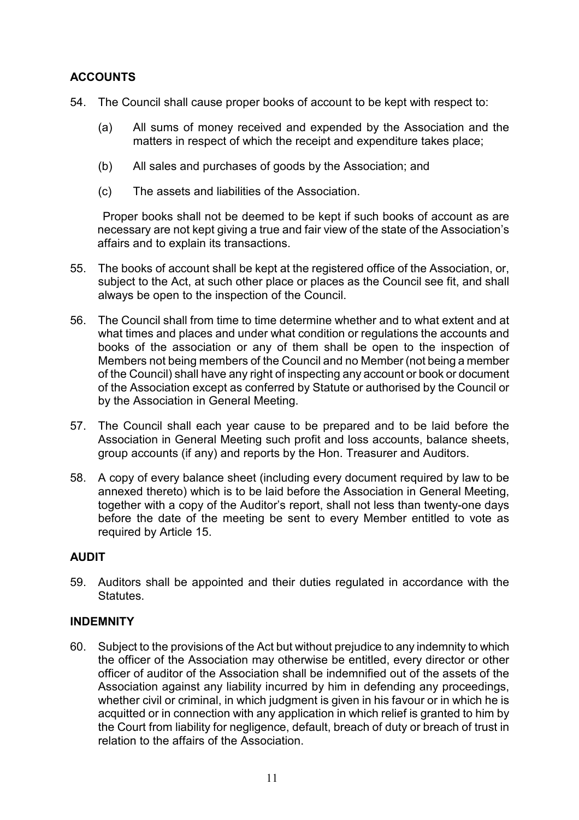# **ACCOUNTS**

- 54. The Council shall cause proper books of account to be kept with respect to:
	- (a) All sums of money received and expended by the Association and the matters in respect of which the receipt and expenditure takes place;
	- (b) All sales and purchases of goods by the Association; and
	- (c) The assets and liabilities of the Association.

Proper books shall not be deemed to be kept if such books of account as are necessary are not kept giving a true and fair view of the state of the Association's affairs and to explain its transactions.

- 55. The books of account shall be kept at the registered office of the Association, or, subject to the Act, at such other place or places as the Council see fit, and shall always be open to the inspection of the Council.
- 56. The Council shall from time to time determine whether and to what extent and at what times and places and under what condition or regulations the accounts and books of the association or any of them shall be open to the inspection of Members not being members of the Council and no Member (not being a member of the Council) shall have any right of inspecting any account or book or document of the Association except as conferred by Statute or authorised by the Council or by the Association in General Meeting.
- 57. The Council shall each year cause to be prepared and to be laid before the Association in General Meeting such profit and loss accounts, balance sheets, group accounts (if any) and reports by the Hon. Treasurer and Auditors.
- 58. A copy of every balance sheet (including every document required by law to be annexed thereto) which is to be laid before the Association in General Meeting, together with a copy of the Auditor's report, shall not less than twenty-one days before the date of the meeting be sent to every Member entitled to vote as required by Article 15.

# **AUDIT**

59. Auditors shall be appointed and their duties regulated in accordance with the Statutes.

### **INDEMNITY**

60. Subject to the provisions of the Act but without prejudice to any indemnity to which the officer of the Association may otherwise be entitled, every director or other officer of auditor of the Association shall be indemnified out of the assets of the Association against any liability incurred by him in defending any proceedings, whether civil or criminal, in which judgment is given in his favour or in which he is acquitted or in connection with any application in which relief is granted to him by the Court from liability for negligence, default, breach of duty or breach of trust in relation to the affairs of the Association.